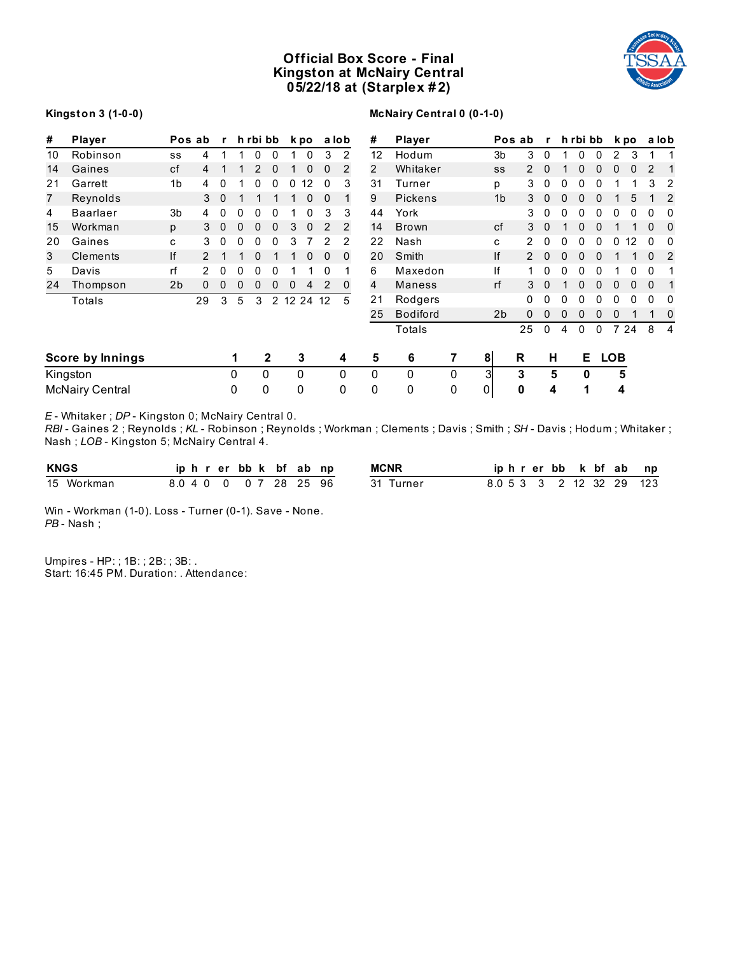# **Official Box Score - Final Kingston at McNairy Central 05/22/18 at (Starplex # 2)**



#### **Kingston 3 (1-0-0)**

# **McNairy Central 0 (0-1-0)**

| #  | <b>Player</b>          |                | Pos ab        | $\mathbf{r}$ |              | h rbi bb    |                |       | k po |              | a lob          | #  | <b>Player</b>   |   |                | Pos ab         | r           |          |    | h rbi bb     |              | k po         |              | a lob          |
|----|------------------------|----------------|---------------|--------------|--------------|-------------|----------------|-------|------|--------------|----------------|----|-----------------|---|----------------|----------------|-------------|----------|----|--------------|--------------|--------------|--------------|----------------|
| 10 | Robinson               | SS             | 4             |              |              | 0           | 0              |       | 0    | 3            | 2              | 12 | Hodum           |   | 3 <sub>b</sub> | 3              | $\Omega$    |          | 0  | 0            | 2            | 3            |              |                |
| 14 | Gaines                 | cf             | 4             |              |              | 2           | 0              |       | 0    | 0            | $\overline{2}$ | 2  | Whitaker        |   | SS             | $\overline{2}$ | 0           |          | 0  | 0            | $\Omega$     | $\mathbf{0}$ | 2            | 1              |
| 21 | Garrett                | 1 <sub>b</sub> | 4             | 0            |              | 0           | 0              | 0     | 12   | 0            | 3              | 31 | Turner          |   | p              | 3              | 0           | 0        | 0  | 0            |              |              | 3            | 2              |
| 7  | Reynolds               |                | 3             | $\mathbf 0$  |              |             |                |       | 0    | $\Omega$     |                | 9  | <b>Pickens</b>  |   | 1 <sub>b</sub> | 3              | $\mathbf 0$ | $\Omega$ | 0  | $\Omega$     |              | 5            |              | $\overline{2}$ |
| 4  | <b>Baarlaer</b>        | 3 <sub>b</sub> | 4             | 0            | $\mathbf{0}$ | 0           | 0              |       | 0    | 3            | 3              | 44 | York            |   |                | 3              | 0           | 0        | 0  | 0            | 0            | 0            | 0            | 0              |
| 15 | Workman                | p              | 3             | $\mathbf 0$  | $\mathbf 0$  | $\mathbf 0$ | 0              | 3     | 0    | 2            | 2              | 14 | <b>Brown</b>    |   | cf             | 3              | $\Omega$    |          | 0  | $\Omega$     |              |              | $\Omega$     | 0              |
| 20 | Gaines                 | C              | 3             | 0            | $\mathbf{0}$ | 0           | 0              | 3     |      | 2            | 2              | 22 | Nash            |   | c              | 2              | 0           | 0        | 0  | 0            | 0            | 12           | $\mathbf{0}$ | 0              |
| 3  | Clements               | If             | $\mathcal{P}$ |              |              | 0           |                |       | 0    | $\mathbf{0}$ | $\mathbf 0$    | 20 | Smith           |   | If             | 2              | 0           | $\Omega$ | 0  | $\mathbf{0}$ |              |              | $\Omega$     | 2              |
| 5  | Davis                  | rf             |               | 0            | 0            | 0           | 0              |       |      | 0            |                | 6  | Maxedon         |   | If             | 1              | 0           | 0        | 0  | 0            |              | 0            | $\mathbf{0}$ |                |
| 24 | Thompson               | 2 <sub>b</sub> | 0             | 0            | 0            | 0           | 0              | 0     | 4    | 2            | $\Omega$       | 4  | <b>Maness</b>   |   | rf             | 3              | $\mathbf 0$ |          | 0  | 0            | $\mathbf{0}$ | $\mathbf 0$  | $\mathbf{0}$ | 1              |
|    | Totals                 |                | 29            | 3            | 5            | 3           | $\overline{2}$ | 12 24 |      | 12           | 5              | 21 | Rodgers         |   |                | 0              | 0           | 0        | 0  | 0            | 0            | 0            | 0            | 0              |
|    |                        |                |               |              |              |             |                |       |      |              |                | 25 | <b>Bodiford</b> |   | 2 <sub>b</sub> | 0              | 0           | 0        | 0  | 0            | 0            |              |              | 0              |
|    |                        |                |               |              |              |             |                |       |      |              |                |    | Totals          |   |                | 25             | 0           | 4        | 0  | 0            |              | 7 24         | 8            | $\overline{4}$ |
|    | Score by Innings       |                |               |              | 1            |             | $\mathbf{2}$   |       | 3    |              | 4              | 5  | 6               | 7 | 8 <sup>1</sup> | R              | н           |          | E. |              | <b>LOB</b>   |              |              |                |
|    | Kingston               |                |               |              | 0            |             | 0              | 0     |      |              | $\Omega$       | 0  | 0               | 0 | 3              | 3              | 5           |          | 0  |              | 5            |              |              |                |
|    | <b>McNairy Central</b> |                |               |              | 0            |             | 0              | 0     |      |              | $\Omega$       | 0  | 0               | 0 | $\overline{0}$ | 0              | 4           |          | 1  |              | 4            |              |              |                |

*E* - Whitaker ; *DP* - Kingston 0; McNairy Central 0.

*RBI* - Gaines 2 ; Reynolds ; *KL* - Robinson ; Reynolds ; Workman ; Clements ; Davis ; Smith ; *SH* - Davis ; Hodum ; Whitaker ; Nash ; *LOB* - Kingston 5; McNairy Central 4.

| <b>KNGS</b> |                        |  |  |  | iphrerbbk bfabnp | <b>MCNR</b> |  |  |  | iphrerbb k bf ab | np                       |
|-------------|------------------------|--|--|--|------------------|-------------|--|--|--|------------------|--------------------------|
| 15 Workman  | 8.0 4 0 0 0 7 28 25 96 |  |  |  |                  | 31 Turner   |  |  |  |                  | 8.0 5 3 3 2 12 32 29 123 |

Win - Workman (1-0). Loss - Turner (0-1). Save - None. *PB* - Nash ;

Umpires - HP: ; 1B: ; 2B: ; 3B: . Start: 16:45 PM. Duration: . Attendance: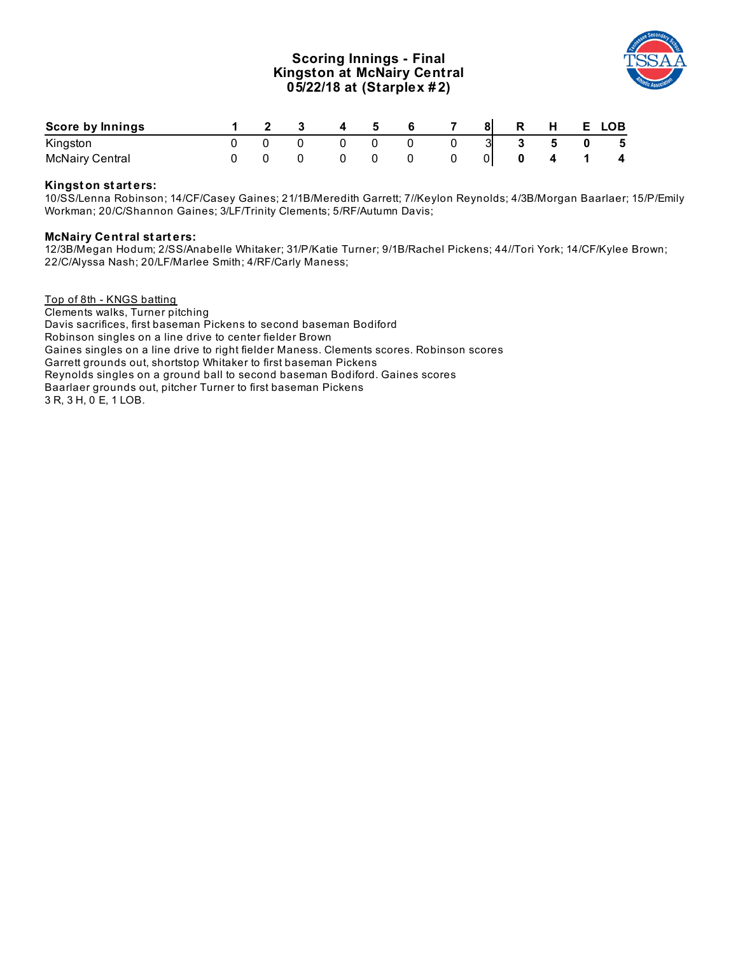# **Scoring Innings - Final Kingston at McNairy Central 05/22/18 at (Starplex # 2)**



| Score by Innings       |  |  | -5 |  |   | 8 R H E LOB                 |                         |
|------------------------|--|--|----|--|---|-----------------------------|-------------------------|
| Kingston               |  |  |    |  | 3 | $3 \quad 5 \quad 0 \quad 5$ |                         |
| <b>McNairy Central</b> |  |  |    |  |   |                             | $\overline{\mathbf{4}}$ |

## **Kingst on st art ers:**

10/SS/Lenna Robinson; 14/CF/Casey Gaines; 21/1B/Meredith Garrett; 7//Keylon Reynolds; 4/3B/Morgan Baarlaer; 15/P/Emily Workman; 20/C/Shannon Gaines; 3/LF/Trinity Clements; 5/RF/Autumn Davis;

#### **McNairy Central st art ers:**

12/3B/Megan Hodum; 2/SS/Anabelle Whitaker; 31/P/Katie Turner; 9/1B/Rachel Pickens; 44//Tori York; 14/CF/Kylee Brown; 22/C/Alyssa Nash; 20/LF/Marlee Smith; 4/RF/Carly Maness;

Top of 8th - KNGS batting Clements walks, Turner pitching Davis sacrifices, first baseman Pickens to second baseman Bodiford Robinson singles on a line drive to center fielder Brown Gaines singles on a line drive to right fielder Maness. Clements scores. Robinson scores Garrett grounds out, shortstop Whitaker to first baseman Pickens Reynolds singles on a ground ball to second baseman Bodiford. Gaines scores Baarlaer grounds out, pitcher Turner to first baseman Pickens 3 R, 3 H, 0 E, 1 LOB.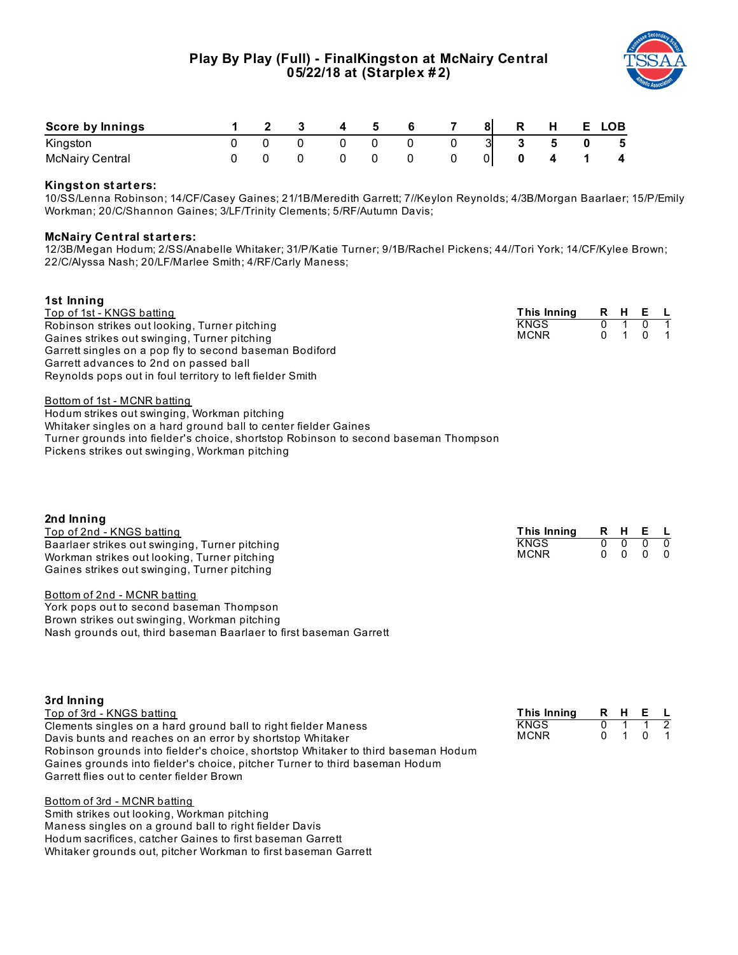

| Score by Innings       |  |  |  | 81 | R. | H | E. | <b>LOB</b>              |
|------------------------|--|--|--|----|----|---|----|-------------------------|
| Kingston               |  |  |  |    |    | 5 |    | - 5                     |
| <b>McNairy Central</b> |  |  |  |    |    |   |    | $\overline{\mathbf{4}}$ |

## **Kingst on st art ers:**

10/SS/Lenna Robinson; 14/CF/Casey Gaines; 21/1B/Meredith Garrett; 7//Keylon Reynolds; 4/3B/Morgan Baarlaer; 15/P/Emily Workman; 20/C/Shannon Gaines; 3/LF/Trinity Clements; 5/RF/Autumn Davis;

#### **McNairy Central st art ers:**

12/3B/Megan Hodum; 2/SS/Anabelle Whitaker; 31/P/Katie Turner; 9/1B/Rachel Pickens; 44//Tori York; 14/CF/Kylee Brown; 22/C/Alyssa Nash; 20/LF/Marlee Smith; 4/RF/Carly Maness;

#### **1st Inning**

Top of 1st - KNGS batting Robinson strikes out looking, Turner pitching Gaines strikes out swinging, Turner pitching Garrett singles on a pop fly to second baseman Bodiford Garrett advances to 2nd on passed ball Reynolds pops out in foul territory to left fielder Smith

| This Innina | R | н | F |  |
|-------------|---|---|---|--|
| KNGS        |   |   |   |  |
| MCNR        |   |   |   |  |

Bottom of 1st - MCNR batting

Hodum strikes out swinging, Workman pitching Whitaker singles on a hard ground ball to center fielder Gaines Turner grounds into fielder's choice, shortstop Robinson to second baseman Thompson Pickens strikes out swinging, Workman pitching

| 2nd Inning                                     |                     |  |  |                          |  |  |  |  |  |  |
|------------------------------------------------|---------------------|--|--|--------------------------|--|--|--|--|--|--|
| Top of 2nd - KNGS batting                      | This Inning R H E L |  |  |                          |  |  |  |  |  |  |
| Baarlaer strikes out swinging, Turner pitching | <b>KNGS</b>         |  |  | $0\quad 0\quad 0\quad 0$ |  |  |  |  |  |  |
| Workman strikes out looking, Turner pitching   | <b>MCNR</b>         |  |  | $0\quad 0\quad 0\quad 0$ |  |  |  |  |  |  |
| Gaines strikes out swinging, Turner pitching   |                     |  |  |                          |  |  |  |  |  |  |

#### Bottom of 2nd - MCNR batting

York pops out to second baseman Thompson Brown strikes out swinging, Workman pitching Nash grounds out, third baseman Baarlaer to first baseman Garrett

| 3rd Inning                                                                        |                     |             |  |
|-----------------------------------------------------------------------------------|---------------------|-------------|--|
| Top of 3rd - KNGS batting                                                         | This Inning R H E L |             |  |
| Clements singles on a hard ground ball to right fielder Maness                    | <b>KNGS</b>         | $0 \t1 \t1$ |  |
| Davis bunts and reaches on an error by shortstop Whitaker                         | <b>MCNR</b>         | 0 1 0 1     |  |
| Robinson grounds into fielder's choice, shortstop Whitaker to third baseman Hodum |                     |             |  |
| Gaines grounds into fielder's choice, pitcher Turner to third baseman Hodum       |                     |             |  |
| Garrett flies out to center fielder Brown                                         |                     |             |  |

Bottom of 3rd - MCNR batting Smith strikes out looking, Workman pitching Maness singles on a ground ball to right fielder Davis Hodum sacrifices, catcher Gaines to first baseman Garrett Whitaker grounds out, pitcher Workman to first baseman Garrett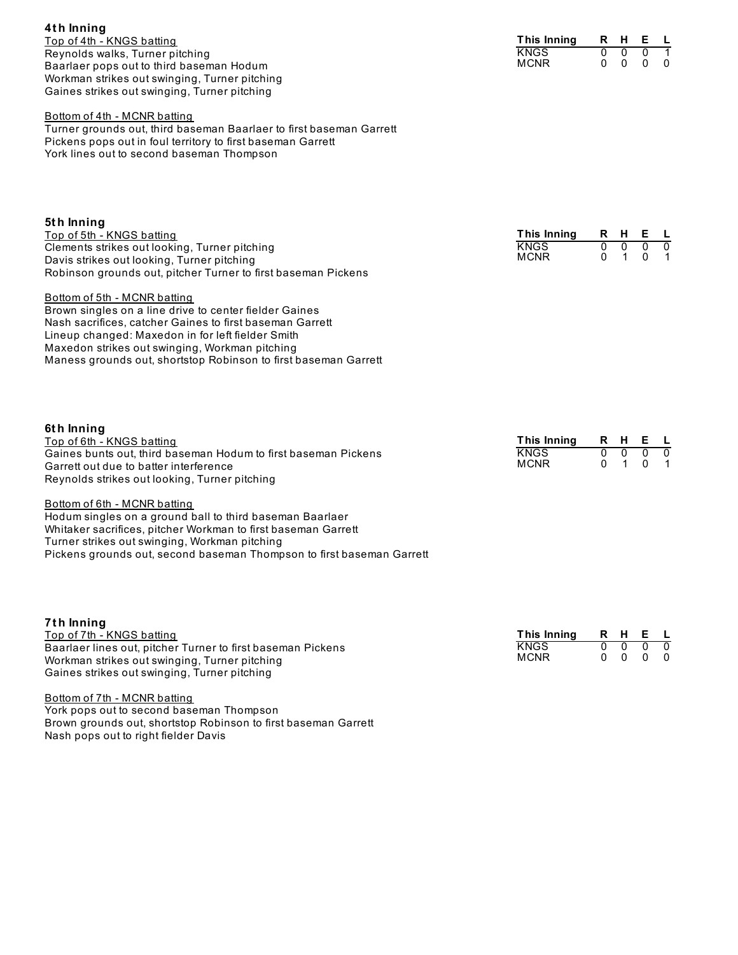| Workman strikes out swinging, Turner pitching<br>Gaines strikes out swinging, Turner pitching                                                                                                                                                                                                                                |                                                  |                                 |                                      |                                 |                          |
|------------------------------------------------------------------------------------------------------------------------------------------------------------------------------------------------------------------------------------------------------------------------------------------------------------------------------|--------------------------------------------------|---------------------------------|--------------------------------------|---------------------------------|--------------------------|
| Bottom of 4th - MCNR batting<br>Turner grounds out, third baseman Baarlaer to first baseman Garrett<br>Pickens pops out in foul territory to first baseman Garrett<br>York lines out to second baseman Thompson                                                                                                              |                                                  |                                 |                                      |                                 |                          |
| 5th Inning<br>Top of 5th - KNGS batting<br>Clements strikes out looking, Turner pitching<br>Davis strikes out looking, Turner pitching<br>Robinson grounds out, pitcher Turner to first baseman Pickens                                                                                                                      | This Inning<br><b>KNGS</b><br><b>MCNR</b>        | R<br>$\overline{0}$<br>$\Omega$ | H.<br>$\overline{0}$<br>$\mathbf{1}$ | Е<br>$\overline{0}$<br>0        | L<br>$\overline{0}$<br>1 |
| Bottom of 5th - MCNR batting<br>Brown singles on a line drive to center fielder Gaines<br>Nash sacrifices, catcher Gaines to first baseman Garrett<br>Lineup changed: Maxedon in for left fielder Smith<br>Maxedon strikes out swinging, Workman pitching<br>Maness grounds out, shortstop Robinson to first baseman Garrett |                                                  |                                 |                                      |                                 |                          |
| 6th Inning<br>Top of 6th - KNGS batting<br>Gaines bunts out, third baseman Hodum to first baseman Pickens<br>Garrett out due to batter interference<br>Reynolds strikes out looking, Turner pitching                                                                                                                         | <b>This Inning</b><br><b>KNGS</b><br><b>MCNR</b> | R<br>$\overline{0}$<br>$\Omega$ | H<br>$\overline{0}$<br>$\mathbf{1}$  | Е<br>$\overline{0}$<br>$\Omega$ | L<br>$\overline{0}$<br>1 |
| Bottom of 6th - MCNR batting<br>Hodum singles on a ground ball to third baseman Baarlaer<br>Whitaker sacrifices, pitcher Workman to first baseman Garrett<br>Turner strikes out swinging, Workman pitching<br>Pickens grounds out, second baseman Thompson to first baseman Garrett                                          |                                                  |                                 |                                      |                                 |                          |

**This Inning R H E L**

**KNGS**  $MCNR$ 

| 7th Inning                                                  |                     |     |                          |          |
|-------------------------------------------------------------|---------------------|-----|--------------------------|----------|
| Top of 7th - KNGS batting                                   | This Inning R H E L |     |                          |          |
| Baarlaer lines out, pitcher Turner to first baseman Pickens | <b>KNGS</b>         | - 0 |                          | $\Omega$ |
| Workman strikes out swinging, Turner pitching               | <b>MCNR</b>         |     | $0\quad 0\quad 0\quad 0$ |          |
| Gaines strikes out swinging, Turner pitching                |                     |     |                          |          |
|                                                             |                     |     |                          |          |

Bottom of 7th - MCNR batting York pops out to second baseman Thompson Brown grounds out, shortstop Robinson to first baseman Garrett Nash pops out to right fielder Davis

**4t h Inning**

Top of 4th - KNGS batting Reynolds walks, Turner pitching

Baarlaer pops out to third baseman Hodum